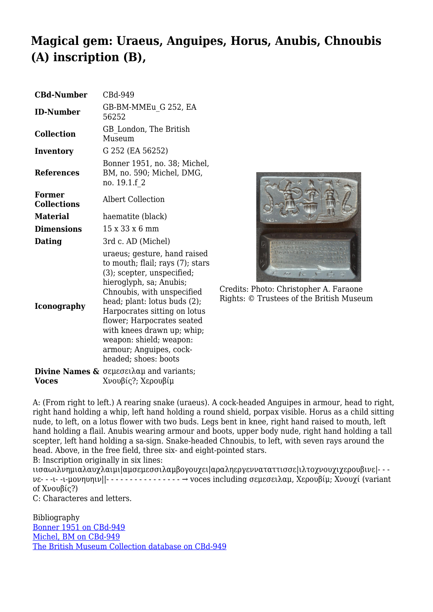## **Magical gem: Uraeus, Anguipes, Horus, Anubis, Chnoubis (A) inscription (B),**

| <b>CBd-Number</b>                   | CBd-949                                                                                                                                                                                                                                                                                                                                                           |
|-------------------------------------|-------------------------------------------------------------------------------------------------------------------------------------------------------------------------------------------------------------------------------------------------------------------------------------------------------------------------------------------------------------------|
| <b>ID-Number</b>                    | GB-BM-MMEu G 252, EA<br>56252                                                                                                                                                                                                                                                                                                                                     |
| <b>Collection</b>                   | GB London, The British<br>Museum                                                                                                                                                                                                                                                                                                                                  |
| Inventory                           | G 252 (EA 56252)                                                                                                                                                                                                                                                                                                                                                  |
| <b>References</b>                   | Bonner 1951, no. 38; Michel,<br>BM, no. 590; Michel, DMG,<br>no. 19.1.f 2                                                                                                                                                                                                                                                                                         |
| <b>Former</b><br><b>Collections</b> | Albert Collection                                                                                                                                                                                                                                                                                                                                                 |
| <b>Material</b>                     | haematite (black)                                                                                                                                                                                                                                                                                                                                                 |
| <b>Dimensions</b>                   | 15 x 33 x 6 mm                                                                                                                                                                                                                                                                                                                                                    |
| <b>Dating</b>                       | 3rd c. AD (Michel)                                                                                                                                                                                                                                                                                                                                                |
| <b>Iconography</b>                  | uraeus; gesture, hand raised<br>to mouth; flail; rays (7); stars<br>(3); scepter, unspecified;<br>hieroglyph, sa; Anubis;<br>Chnoubis, with unspecified<br>head; plant: lotus buds (2);<br>Harpocrates sitting on lotus<br>flower; Harpocrates seated<br>with knees drawn up; whip;<br>weapon: shield; weapon:<br>armour; Anguipes, cock-<br>headed; shoes: boots |
|                                     | <b>Divine Names &amp;</b> $\sigma$ εμεσειλαμ and variants;                                                                                                                                                                                                                                                                                                        |
| <b>Voces</b>                        | Χνουβίς?; Χερουβίμ                                                                                                                                                                                                                                                                                                                                                |



Credits: Photo: Christopher A. Faraone Rights: © Trustees of the British Museum

A: (From right to left.) A rearing snake (uraeus). A cock-headed Anguipes in armour, head to right, right hand holding a whip, left hand holding a round shield, porpax visible. Horus as a child sitting nude, to left, on a lotus flower with two buds. Legs bent in knee, right hand raised to mouth, left hand holding a flail. Anubis wearing armour and boots, upper body nude, right hand holding a tall scepter, left hand holding a sa-sign. Snake-headed Chnoubis, to left, with seven rays around the head. Above, in the free field, three six- and eight-pointed stars. B: Inscription originally in six lines:

ιισαωιλνημιαλαυχλαιμι|αμσεμεσσιλαμβογουχει|αραληεργενναταττισσε|ιλτοχνουχιχερουβινε|- - νε- - -ι- -ι-μονηυηιν||- - - - - - - - - - - - - - - - → voces including σεμεσειλαμ, Χερουβίμ; Χνουχί (variant of Χνουβίς?)

C: Characteres and letters.

Bibliography [Bonner 1951 on CBd-949](http://cbd.mfab.hu/pandecta/906) [Michel, BM on CBd-949](http://cbd.mfab.hu/pandecta/814) [The British Museum Collection database on CBd-949](http://www.britishmuseum.org/research/search_the_collection_database/search_object_details.aspx?objectid=62244&partid=1&searchText=Michel+2001+590&fromADBC=ad&toADBC=ad&numpages=10&orig=%2fresearch%2fsearch_the_collection_database.aspx¤tPage=1)